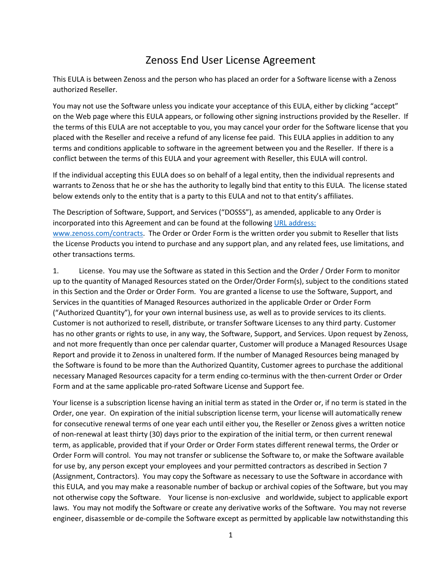## Zenoss End User License Agreement

This EULA is between Zenoss and the person who has placed an order for a Software license with a Zenoss authorized Reseller.

You may not use the Software unless you indicate your acceptance of this EULA, either by clicking "accept" on the Web page where this EULA appears, or following other signing instructions provided by the Reseller. If the terms of this EULA are not acceptable to you, you may cancel your order for the Software license that you placed with the Reseller and receive a refund of any license fee paid. This EULA applies in addition to any terms and conditions applicable to software in the agreement between you and the Reseller. If there is a conflict between the terms of this EULA and your agreement with Reseller, this EULA will control.

If the individual accepting this EULA does so on behalf of a legal entity, then the individual represents and warrants to Zenoss that he or she has the authority to legally bind that entity to this EULA. The license stated below extends only to the entity that is a party to this EULA and not to that entity's affiliates.

The Description of Software, Support, and Services ("DOSSS"), as amended, applicable to any Order is incorporated into this Agreement and can be found at the following URL address: www.zenoss.com/contracts. The Order or Order Form is the written order you submit to Reseller that lists the License Products you intend to purchase and any support plan, and any related fees, use limitations, and other transactions terms.

1. License. You may use the Software as stated in this Section and the Order / Order Form to monitor up to the quantity of Managed Resources stated on the Order/Order Form(s), subject to the conditions stated in this Section and the Order or Order Form. You are granted a license to use the Software, Support, and Services in the quantities of Managed Resources authorized in the applicable Order or Order Form ("Authorized Quantity"), for your own internal business use, as well as to provide services to its clients. Customer is not authorized to resell, distribute, or transfer Software Licenses to any third party. Customer has no other grants or rights to use, in any way, the Software, Support, and Services. Upon request by Zenoss, and not more frequently than once per calendar quarter, Customer will produce a Managed Resources Usage Report and provide it to Zenoss in unaltered form. If the number of Managed Resources being managed by the Software is found to be more than the Authorized Quantity, Customer agrees to purchase the additional necessary Managed Resources capacity for a term ending co-terminus with the then-current Order or Order Form and at the same applicable pro-rated Software License and Support fee.

Your license is a subscription license having an initial term as stated in the Order or, if no term is stated in the Order, one year. On expiration of the initial subscription license term, your license will automatically renew for consecutive renewal terms of one year each until either you, the Reseller or Zenoss gives a written notice of non-renewal at least thirty (30) days prior to the expiration of the initial term, or then current renewal term, as applicable, provided that if your Order or Order Form states different renewal terms, the Order or Order Form will control. You may not transfer or sublicense the Software to, or make the Software available for use by, any person except your employees and your permitted contractors as described in Section 7 (Assignment, Contractors). You may copy the Software as necessary to use the Software in accordance with this EULA, and you may make a reasonable number of backup or archival copies of the Software, but you may not otherwise copy the Software. Your license is non-exclusive and worldwide, subject to applicable export laws. You may not modify the Software or create any derivative works of the Software. You may not reverse engineer, disassemble or de-compile the Software except as permitted by applicable law notwithstanding this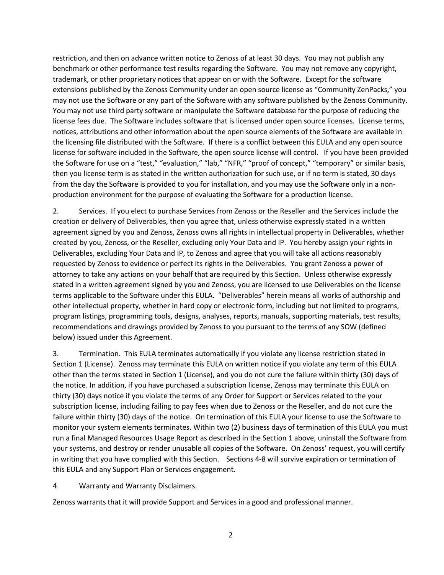restriction, and then on advance written notice to Zenoss of at least 30 days. You may not publish any benchmark or other performance test results regarding the Software. You may not remove any copyright, trademark, or other proprietary notices that appear on or with the Software. Except for the software extensions published by the Zenoss Community under an open source license as "Community ZenPacks," you may not use the Software or any part of the Software with any software published by the Zenoss Community. You may not use third party software or manipulate the Software database for the purpose of reducing the license fees due. The Software includes software that is licensed under open source licenses. License terms, notices, attributions and other information about the open source elements of the Software are available in the licensing file distributed with the Software. If there is a conflict between this EULA and any open source license for software included in the Software, the open source license will control. If you have been provided the Software for use on a "test," "evaluation," "lab," "NFR," "proof of concept," "temporary" or similar basis, then you license term is as stated in the written authorization for such use, or if no term is stated, 30 days from the day the Software is provided to you for installation, and you may use the Software only in a nonproduction environment for the purpose of evaluating the Software for a production license.

2. Services. If you elect to purchase Services from Zenoss or the Reseller and the Services include the creation or delivery of Deliverables, then you agree that, unless otherwise expressly stated in a written agreement signed by you and Zenoss, Zenoss owns all rights in intellectual property in Deliverables, whether created by you, Zenoss, or the Reseller, excluding only Your Data and IP. You hereby assign your rights in Deliverables, excluding Your Data and IP, to Zenoss and agree that you will take all actions reasonably requested by Zenoss to evidence or perfect its rights in the Deliverables. You grant Zenoss a power of attorney to take any actions on your behalf that are required by this Section. Unless otherwise expressly stated in a written agreement signed by you and Zenoss, you are licensed to use Deliverables on the license terms applicable to the Software under this EULA. "Deliverables" herein means all works of authorship and other intellectual property, whether in hard copy or electronic form, including but not limited to programs, program listings, programming tools, designs, analyses, reports, manuals, supporting materials, test results, recommendations and drawings provided by Zenoss to you pursuant to the terms of any SOW (defined below) issued under this Agreement.

3. Termination. This EULA terminates automatically if you violate any license restriction stated in Section 1 (License). Zenoss may terminate this EULA on written notice if you violate any term of this EULA other than the terms stated in Section 1 (License), and you do not cure the failure within thirty (30) days of the notice. In addition, if you have purchased a subscription license, Zenoss may terminate this EULA on thirty (30) days notice if you violate the terms of any Order for Support or Services related to the your subscription license, including failing to pay fees when due to Zenoss or the Reseller, and do not cure the failure within thirty (30) days of the notice. On termination of this EULA your license to use the Software to monitor your system elements terminates. Within two (2) business days of termination of this EULA you must run a final Managed Resources Usage Report as described in the Section 1 above, uninstall the Software from your systems, and destroy or render unusable all copies of the Software. On Zenoss' request, you will certify in writing that you have complied with this Section. Sections 4-8 will survive expiration or termination of this EULA and any Support Plan or Services engagement.

4. Warranty and Warranty Disclaimers.

Zenoss warrants that it will provide Support and Services in a good and professional manner.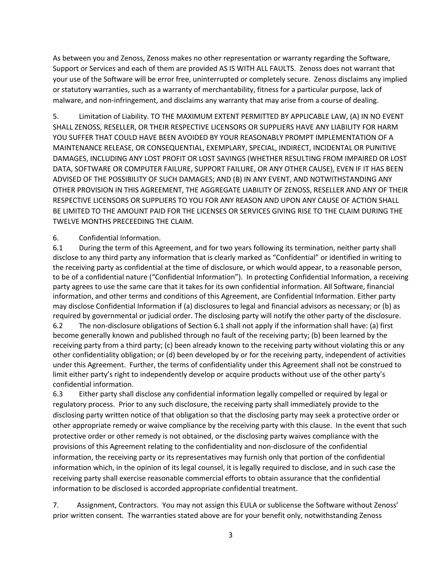As between you and Zenoss, Zenoss makes no other representation or warranty regarding the Software, Support or Services and each of them are provided AS IS WITH ALL FAULTS. Zenoss does not warrant that your use of the Software will be error free, uninterrupted or completely secure. Zenoss disclaims any implied or statutory warranties, such as a warranty of merchantability, fitness for a particular purpose, lack of malware, and non-infringement, and disclaims any warranty that may arise from a course of dealing.

5. Limitation of Liability. TO THE MAXIMUM EXTENT PERMITTED BY APPLICABLE LAW, (A) IN NO EVENT SHALL ZENOSS, RESELLER, OR THEIR RESPECTIVE LICENSORS OR SUPPLIERS HAVE ANY LIABILITY FOR HARM YOU SUFFER THAT COULD HAVE BEEN AVOIDED BY YOUR REASONABLY PROMPT IMPLEMENTATION OF A MAINTENANCE RELEASE, OR CONSEQUENTIAL, EXEMPLARY, SPECIAL, INDIRECT, INCIDENTAL OR PUNITIVE DAMAGES, INCLUDING ANY LOST PROFIT OR LOST SAVINGS (WHETHER RESULTING FROM IMPAIRED OR LOST DATA, SOFTWARE OR COMPUTER FAILURE, SUPPORT FAILURE, OR ANY OTHER CAUSE), EVEN IF IT HAS BEEN ADVISED OF THE POSSIBILITY OF SUCH DAMAGES; AND (B) IN ANY EVENT, AND NOTWITHSTANDING ANY OTHER PROVISION IN THIS AGREEMENT, THE AGGREGATE LIABILITY OF ZENOSS, RESELLER AND ANY OF THEIR RESPECTIVE LICENSORS OR SUPPLIERS TO YOU FOR ANY REASON AND UPON ANY CAUSE OF ACTION SHALL BE LIMITED TO THE AMOUNT PAID FOR THE LICENSES OR SERVICES GIVING RISE TO THE CLAIM DURING THE TWELVE MONTHS PRECEEDING THE CLAIM.

## 6. Confidential Information.

6.1 During the term of this Agreement, and for two years following its termination, neither party shall disclose to any third party any information that is clearly marked as "Confidential" or identified in writing to the receiving party as confidential at the time of disclosure, or which would appear, to a reasonable person, to be of a confidential nature ("Confidential Information"). In protecting Confidential Information, a receiving party agrees to use the same care that it takes for its own confidential information. All Software, financial information, and other terms and conditions of this Agreement, are Confidential Information. Either party may disclose Confidential Information if (a) disclosures to legal and financial advisors as necessary; or (b) as required by governmental or judicial order. The disclosing party will notify the other party of the disclosure. 6.2 The non-disclosure obligations of Section 6.1 shall not apply if the information shall have: (a) first become generally known and published through no fault of the receiving party; (b) been learned by the receiving party from a third party; (c) been already known to the receiving party without violating this or any other confidentiality obligation; or (d) been developed by or for the receiving party, independent of activities under this Agreement. Further, the terms of confidentiality under this Agreement shall not be construed to limit either party's right to independently develop or acquire products without use of the other party's confidential information.

6.3 Either party shall disclose any confidential information legally compelled or required by legal or regulatory process. Prior to any such disclosure, the receiving party shall immediately provide to the disclosing party written notice of that obligation so that the disclosing party may seek a protective order or other appropriate remedy or waive compliance by the receiving party with this clause. In the event that such protective order or other remedy is not obtained, or the disclosing party waives compliance with the provisions of this Agreement relating to the confidentiality and non-disclosure of the confidential information, the receiving party or its representatives may furnish only that portion of the confidential information which, in the opinion of its legal counsel, it is legally required to disclose, and in such case the receiving party shall exercise reasonable commercial efforts to obtain assurance that the confidential information to be disclosed is accorded appropriate confidential treatment.

7. Assignment, Contractors. You may not assign this EULA or sublicense the Software without Zenoss' prior written consent. The warranties stated above are for your benefit only, notwithstanding Zenoss